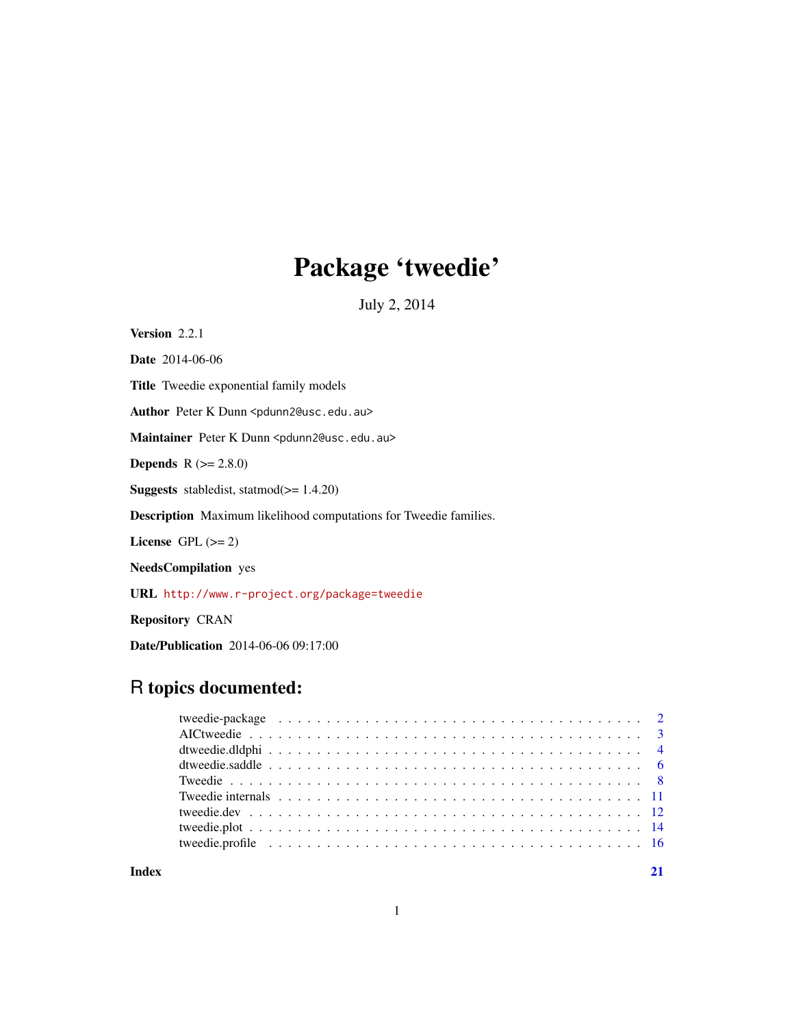## Package 'tweedie'

July 2, 2014

<span id="page-0-0"></span>Version 2.2.1

Date 2014-06-06

Title Tweedie exponential family models

Author Peter K Dunn <pdunn2@usc.edu.au>

Maintainer Peter K Dunn <pdunn2@usc.edu.au>

**Depends**  $R (= 2.8.0)$ 

Suggests stabledist, statmod(>= 1.4.20)

Description Maximum likelihood computations for Tweedie families.

License GPL  $(>= 2)$ 

NeedsCompilation yes

URL <http://www.r-project.org/package=tweedie>

Repository CRAN

Date/Publication 2014-06-06 09:17:00

### R topics documented:

**Index** [21](#page-20-0)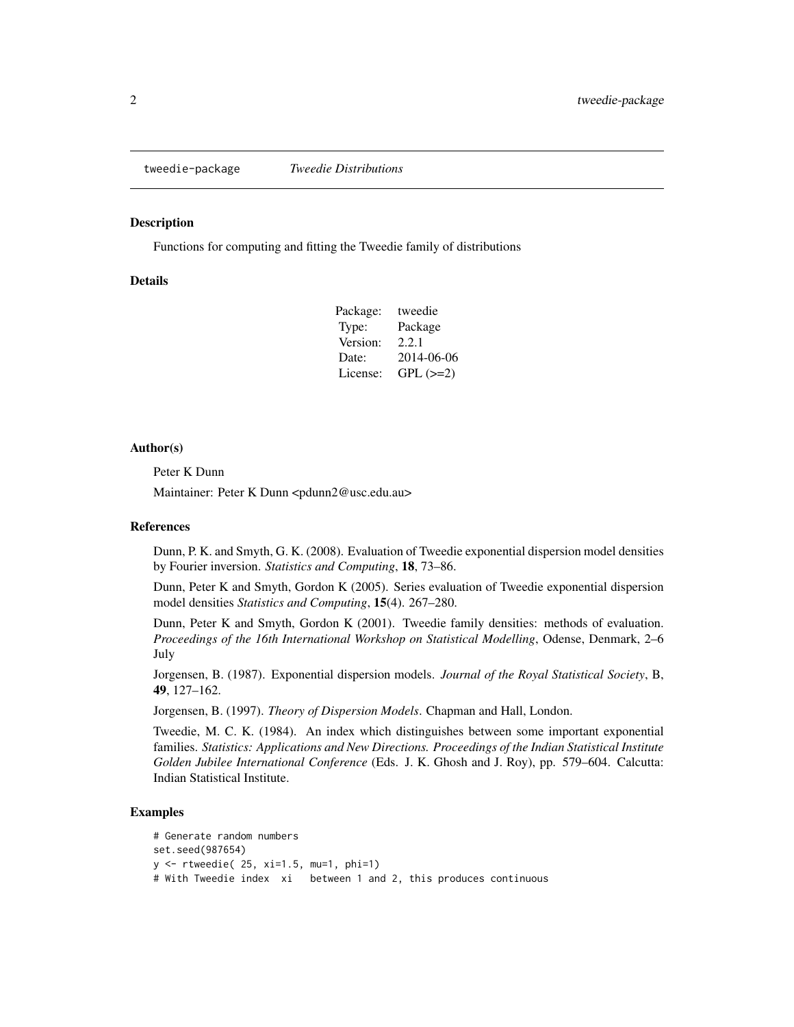<span id="page-1-0"></span>

#### **Description**

Functions for computing and fitting the Tweedie family of distributions

#### Details

| Package: | tweedie    |
|----------|------------|
| Type:    | Package    |
| Version: | 2.2.1      |
| Date:    | 2014-06-06 |
| License: | $GPL (=2)$ |

#### Author(s)

Peter K Dunn

Maintainer: Peter K Dunn <pdunn2@usc.edu.au>

#### References

Dunn, P. K. and Smyth, G. K. (2008). Evaluation of Tweedie exponential dispersion model densities by Fourier inversion. *Statistics and Computing*, 18, 73–86.

Dunn, Peter K and Smyth, Gordon K (2005). Series evaluation of Tweedie exponential dispersion model densities *Statistics and Computing*, 15(4). 267–280.

Dunn, Peter K and Smyth, Gordon K (2001). Tweedie family densities: methods of evaluation. *Proceedings of the 16th International Workshop on Statistical Modelling*, Odense, Denmark, 2–6 July

Jorgensen, B. (1987). Exponential dispersion models. *Journal of the Royal Statistical Society*, B, 49, 127–162.

Jorgensen, B. (1997). *Theory of Dispersion Models*. Chapman and Hall, London.

Tweedie, M. C. K. (1984). An index which distinguishes between some important exponential families. *Statistics: Applications and New Directions. Proceedings of the Indian Statistical Institute Golden Jubilee International Conference* (Eds. J. K. Ghosh and J. Roy), pp. 579–604. Calcutta: Indian Statistical Institute.

#### Examples

```
# Generate random numbers
set.seed(987654)
y <- rtweedie( 25, xi=1.5, mu=1, phi=1)
# With Tweedie index xi between 1 and 2, this produces continuous
```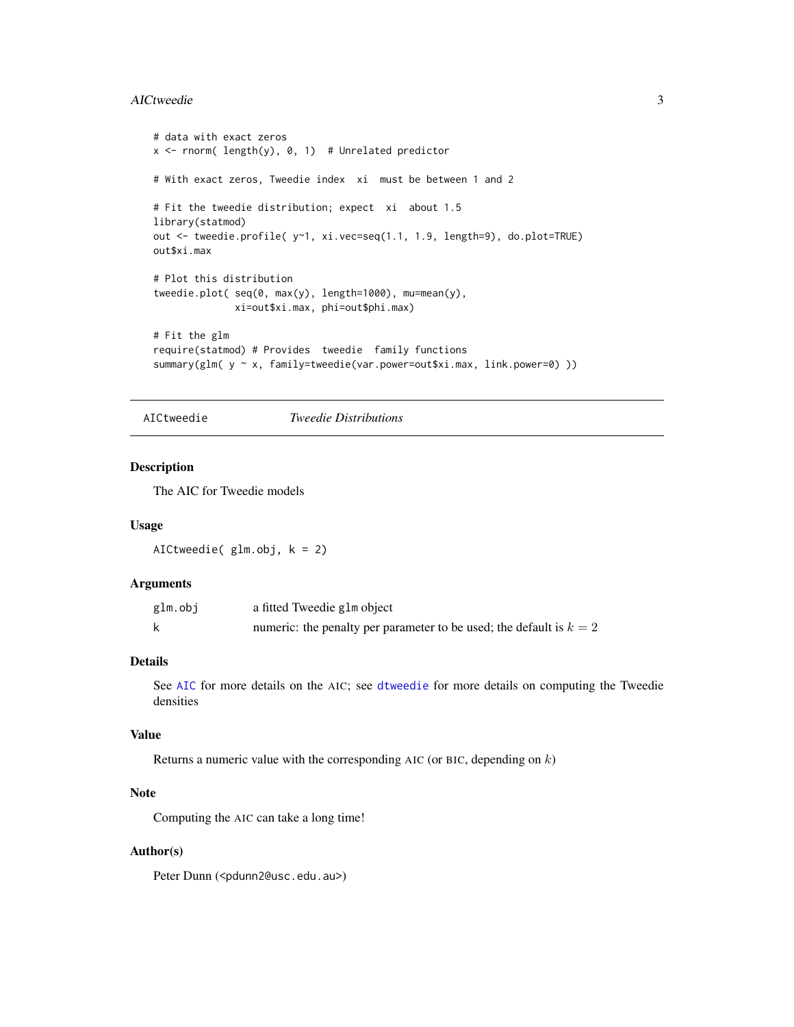#### <span id="page-2-0"></span>AICtweedie 3

```
# data with exact zeros
x \le rnorm( length(y), 0, 1) # Unrelated predictor
# With exact zeros, Tweedie index xi must be between 1 and 2
# Fit the tweedie distribution; expect xi about 1.5
library(statmod)
out <- tweedie.profile( y~1, xi.vec=seq(1.1, 1.9, length=9), do.plot=TRUE)
out$xi.max
# Plot this distribution
tweedie.plot( seq(0, max(y), length=1000), mu=mean(y),
             xi=out$xi.max, phi=out$phi.max)
# Fit the glm
require(statmod) # Provides tweedie family functions
summary(glm( y ~ x, family=tweedie(var.power=out$xi.max, link.power=0) ))
```

```
AICtweedie Tweedie Distributions
```
#### Description

The AIC for Tweedie models

#### Usage

AICtweedie( glm.obj, k = 2)

#### Arguments

| glm.obj | a fitted Tweedie glm object                                           |
|---------|-----------------------------------------------------------------------|
|         | numeric: the penalty per parameter to be used; the default is $k = 2$ |

#### Details

See [AIC](#page-0-0) for more details on the AIC; see [dtweedie](#page-7-1) for more details on computing the Tweedie densities

#### Value

Returns a numeric value with the corresponding AIC (or BIC, depending on  $k$ )

#### Note

Computing the AIC can take a long time!

#### Author(s)

Peter Dunn (<pdunn2@usc.edu.au>)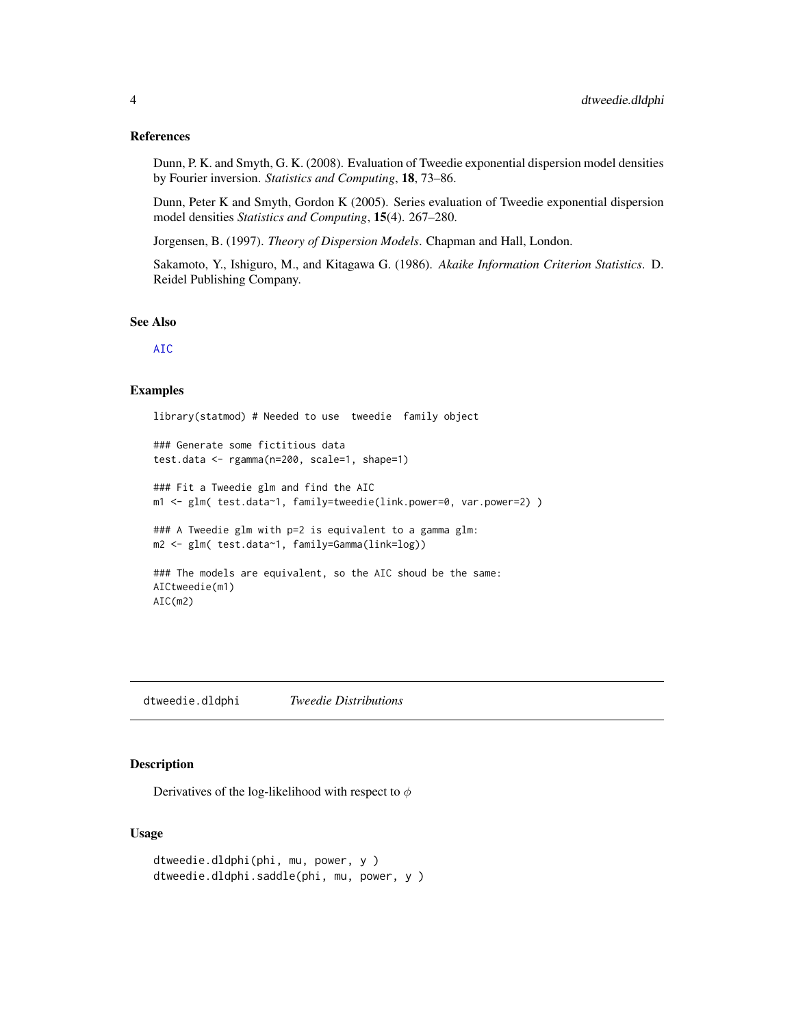#### <span id="page-3-0"></span>References

Dunn, P. K. and Smyth, G. K. (2008). Evaluation of Tweedie exponential dispersion model densities by Fourier inversion. *Statistics and Computing*, 18, 73–86.

Dunn, Peter K and Smyth, Gordon K (2005). Series evaluation of Tweedie exponential dispersion model densities *Statistics and Computing*, 15(4). 267–280.

Jorgensen, B. (1997). *Theory of Dispersion Models*. Chapman and Hall, London.

Sakamoto, Y., Ishiguro, M., and Kitagawa G. (1986). *Akaike Information Criterion Statistics*. D. Reidel Publishing Company.

#### See Also

[AIC](#page-0-0)

#### Examples

library(statmod) # Needed to use tweedie family object

```
### Generate some fictitious data
test.data <- rgamma(n=200, scale=1, shape=1)
### Fit a Tweedie glm and find the AIC
m1 <- glm( test.data~1, family=tweedie(link.power=0, var.power=2) )
### A Tweedie glm with p=2 is equivalent to a gamma glm:
m2 <- glm( test.data~1, family=Gamma(link=log))
### The models are equivalent, so the AIC shoud be the same:
AICtweedie(m1)
AIC(m2)
```
dtweedie.dldphi *Tweedie Distributions*

#### Description

Derivatives of the log-likelihood with respect to  $\phi$ 

#### Usage

```
dtweedie.dldphi(phi, mu, power, y )
dtweedie.dldphi.saddle(phi, mu, power, y )
```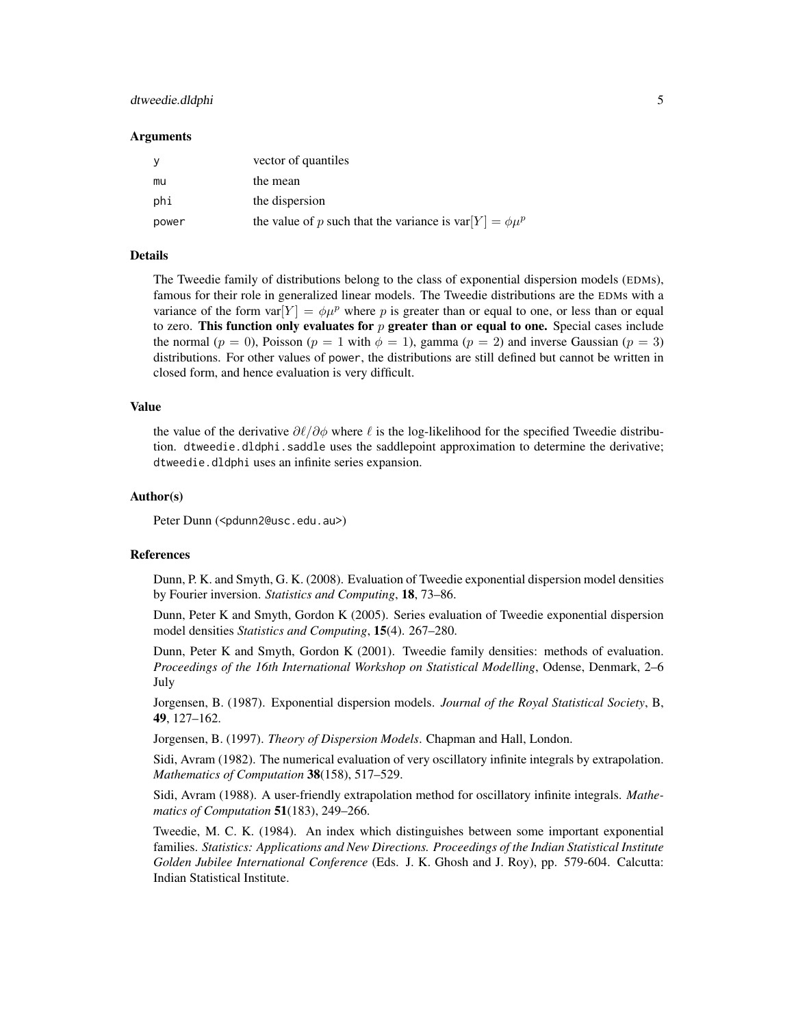#### dtweedie.dldphi 5

#### **Arguments**

| <b>V</b> | vector of quantiles                                            |
|----------|----------------------------------------------------------------|
| mu       | the mean                                                       |
| phi      | the dispersion                                                 |
| power    | the value of p such that the variance is $var[Y] = \phi \mu^p$ |

#### Details

The Tweedie family of distributions belong to the class of exponential dispersion models (EDMs), famous for their role in generalized linear models. The Tweedie distributions are the EDMs with a variance of the form var $[Y] = \phi \mu^p$  where p is greater than or equal to one, or less than or equal to zero. This function only evaluates for  $p$  greater than or equal to one. Special cases include the normal ( $p = 0$ ), Poisson ( $p = 1$  with  $\phi = 1$ ), gamma ( $p = 2$ ) and inverse Gaussian ( $p = 3$ ) distributions. For other values of power, the distributions are still defined but cannot be written in closed form, and hence evaluation is very difficult.

#### Value

the value of the derivative  $\partial\ell/\partial\phi$  where  $\ell$  is the log-likelihood for the specified Tweedie distribution. dtweedie.dldphi.saddle uses the saddlepoint approximation to determine the derivative; dtweedie.dldphi uses an infinite series expansion.

#### Author(s)

Peter Dunn (<pdunn2@usc.edu.au>)

#### References

Dunn, P. K. and Smyth, G. K. (2008). Evaluation of Tweedie exponential dispersion model densities by Fourier inversion. *Statistics and Computing*, 18, 73–86.

Dunn, Peter K and Smyth, Gordon K (2005). Series evaluation of Tweedie exponential dispersion model densities *Statistics and Computing*, 15(4). 267–280.

Dunn, Peter K and Smyth, Gordon K (2001). Tweedie family densities: methods of evaluation. *Proceedings of the 16th International Workshop on Statistical Modelling*, Odense, Denmark, 2–6 July

Jorgensen, B. (1987). Exponential dispersion models. *Journal of the Royal Statistical Society*, B, 49, 127–162.

Jorgensen, B. (1997). *Theory of Dispersion Models*. Chapman and Hall, London.

Sidi, Avram (1982). The numerical evaluation of very oscillatory infinite integrals by extrapolation. *Mathematics of Computation* 38(158), 517–529.

Sidi, Avram (1988). A user-friendly extrapolation method for oscillatory infinite integrals. *Mathematics of Computation* 51(183), 249–266.

Tweedie, M. C. K. (1984). An index which distinguishes between some important exponential families. *Statistics: Applications and New Directions. Proceedings of the Indian Statistical Institute Golden Jubilee International Conference* (Eds. J. K. Ghosh and J. Roy), pp. 579-604. Calcutta: Indian Statistical Institute.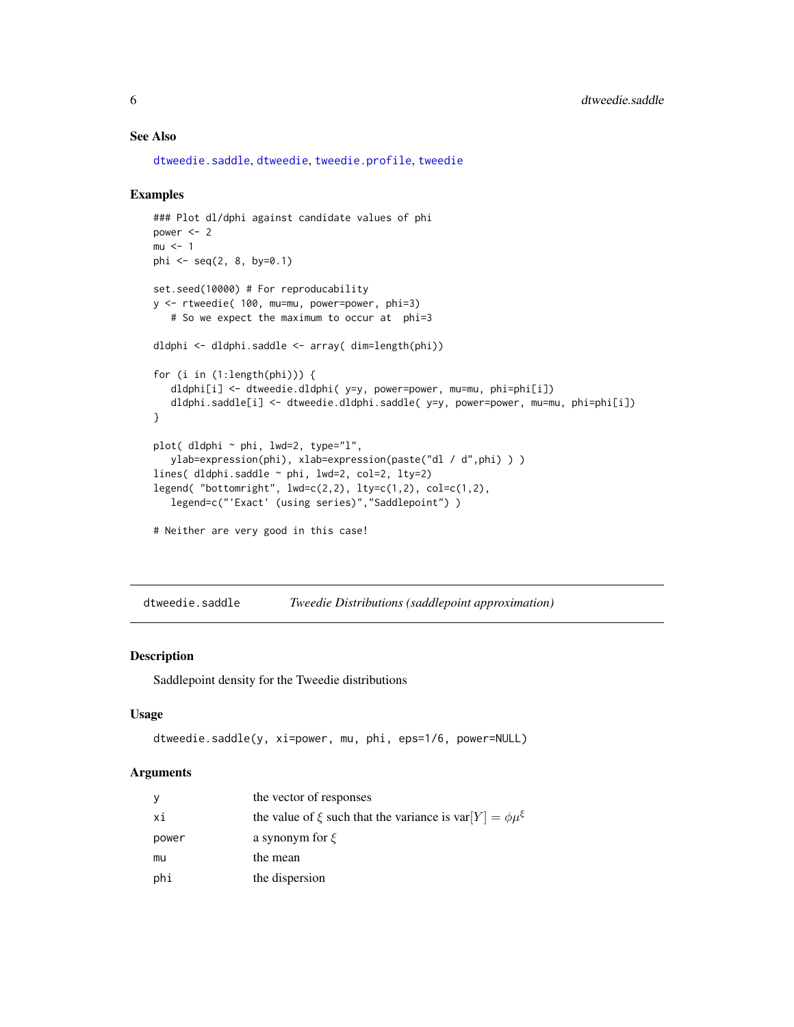#### See Also

[dtweedie.saddle](#page-5-1), [dtweedie](#page-7-1), [tweedie.profile](#page-15-1), [tweedie](#page-0-0)

#### Examples

```
### Plot dl/dphi against candidate values of phi
power <-2mu < - 1phi <- seq(2, 8, by=0.1)
set.seed(10000) # For reproducability
y <- rtweedie( 100, mu=mu, power=power, phi=3)
   # So we expect the maximum to occur at phi=3
dldphi <- dldphi.saddle <- array( dim=length(phi))
for (i in (1:length(phi))) {
   dldphi[i] <- dtweedie.dldphi( y=y, power=power, mu=mu, phi=phi[i])
   dldphi.saddle[i] <- dtweedie.dldphi.saddle( y=y, power=power, mu=mu, phi=phi[i])
}
plot( dldphi ~ phi, lwd=2, type="l",
   ylab=expression(phi), xlab=expression(paste("dl / d",phi) ) )
lines( dldphi.saddle ~ phi, lwd=2, col=2, lty=2)
legend( "bottomright", lwd=c(2,2), lty=c(1,2), col=c(1,2),
   legend=c("'Exact' (using series)","Saddlepoint") )
# Neither are very good in this case!
```
<span id="page-5-1"></span>dtweedie.saddle *Tweedie Distributions (saddlepoint approximation)*

#### Description

Saddlepoint density for the Tweedie distributions

#### Usage

```
dtweedie.saddle(y, xi=power, mu, phi, eps=1/6, power=NULL)
```
#### Arguments

| У     | the vector of responses                                                 |
|-------|-------------------------------------------------------------------------|
| хi    | the value of $\xi$ such that the variance is var $[Y] = \phi \mu^{\xi}$ |
| power | a synonym for $\xi$                                                     |
| mu    | the mean                                                                |
| phi   | the dispersion                                                          |

<span id="page-5-0"></span>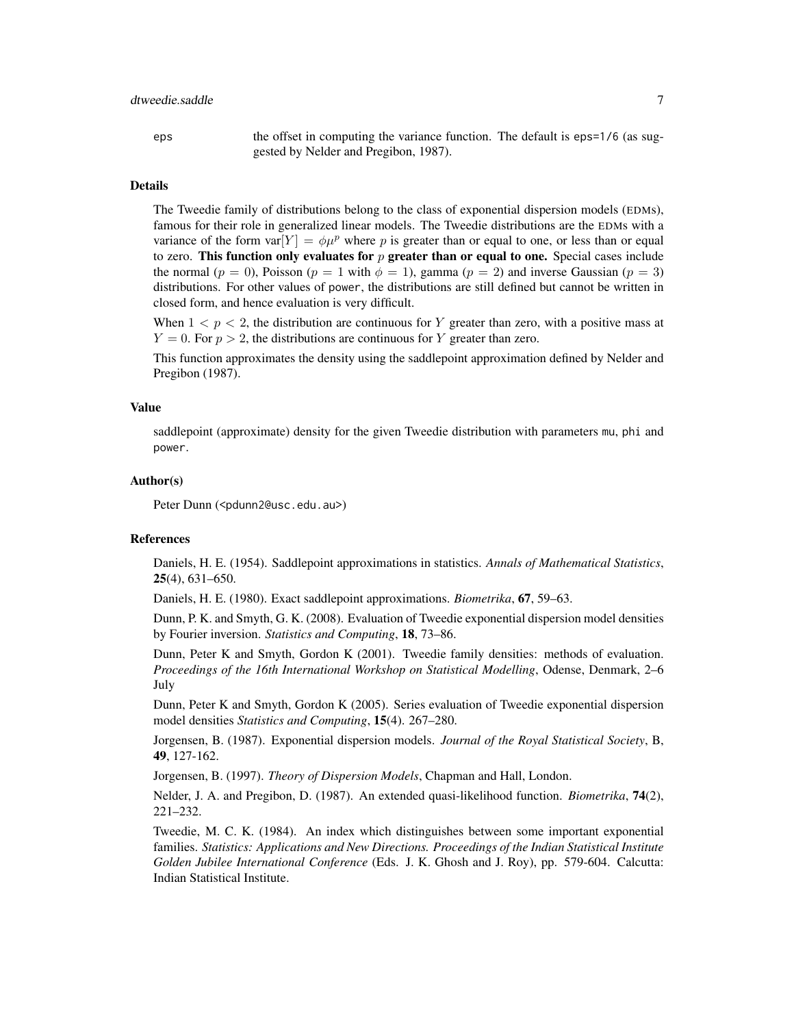eps the offset in computing the variance function. The default is eps=1/6 (as suggested by Nelder and Pregibon, 1987).

#### Details

The Tweedie family of distributions belong to the class of exponential dispersion models (EDMs), famous for their role in generalized linear models. The Tweedie distributions are the EDMs with a variance of the form  $var[Y] = \phi \mu^p$  where p is greater than or equal to one, or less than or equal to zero. This function only evaluates for  $p$  greater than or equal to one. Special cases include the normal ( $p = 0$ ), Poisson ( $p = 1$  with  $\phi = 1$ ), gamma ( $p = 2$ ) and inverse Gaussian ( $p = 3$ ) distributions. For other values of power, the distributions are still defined but cannot be written in closed form, and hence evaluation is very difficult.

When  $1 < p < 2$ , the distribution are continuous for Y greater than zero, with a positive mass at  $Y = 0$ . For  $p > 2$ , the distributions are continuous for Y greater than zero.

This function approximates the density using the saddlepoint approximation defined by Nelder and Pregibon (1987).

#### Value

saddlepoint (approximate) density for the given Tweedie distribution with parameters mu, phi and power.

#### Author(s)

Peter Dunn (<pdunn2@usc.edu.au>)

#### **References**

Daniels, H. E. (1954). Saddlepoint approximations in statistics. *Annals of Mathematical Statistics*, 25(4), 631–650.

Daniels, H. E. (1980). Exact saddlepoint approximations. *Biometrika*, 67, 59–63.

Dunn, P. K. and Smyth, G. K. (2008). Evaluation of Tweedie exponential dispersion model densities by Fourier inversion. *Statistics and Computing*, 18, 73–86.

Dunn, Peter K and Smyth, Gordon K (2001). Tweedie family densities: methods of evaluation. *Proceedings of the 16th International Workshop on Statistical Modelling*, Odense, Denmark, 2–6 July

Dunn, Peter K and Smyth, Gordon K (2005). Series evaluation of Tweedie exponential dispersion model densities *Statistics and Computing*, 15(4). 267–280.

Jorgensen, B. (1987). Exponential dispersion models. *Journal of the Royal Statistical Society*, B, 49, 127-162.

Jorgensen, B. (1997). *Theory of Dispersion Models*, Chapman and Hall, London.

Nelder, J. A. and Pregibon, D. (1987). An extended quasi-likelihood function. *Biometrika*, 74(2), 221–232.

Tweedie, M. C. K. (1984). An index which distinguishes between some important exponential families. *Statistics: Applications and New Directions. Proceedings of the Indian Statistical Institute Golden Jubilee International Conference* (Eds. J. K. Ghosh and J. Roy), pp. 579-604. Calcutta: Indian Statistical Institute.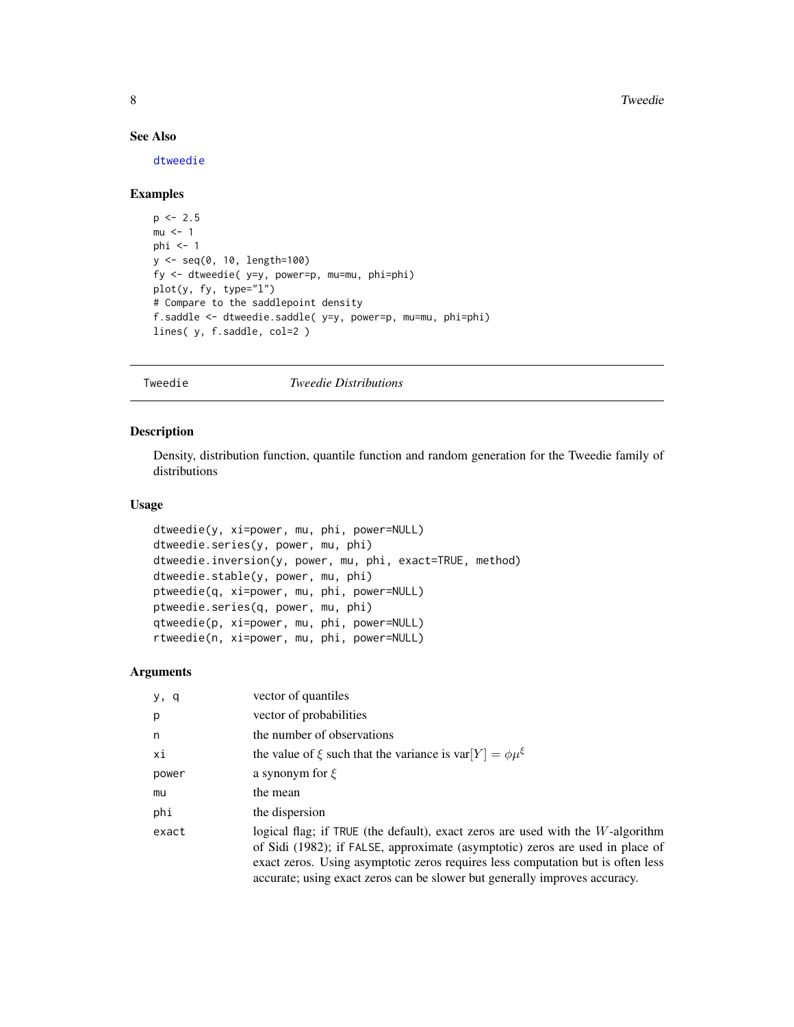8 Second to the second second second second second second second second second second second second second second second second second second second second second second second second second second second second second sec

#### See Also

[dtweedie](#page-7-1)

#### Examples

```
p \le -2.5mu < -1phi \leq -1y <- seq(0, 10, length=100)
fy <- dtweedie( y=y, power=p, mu=mu, phi=phi)
plot(y, fy, type="l")
# Compare to the saddlepoint density
f.saddle <- dtweedie.saddle( y=y, power=p, mu=mu, phi=phi)
lines( y, f.saddle, col=2 )
```
Tweedie *Tweedie Distributions*

#### <span id="page-7-1"></span>Description

Density, distribution function, quantile function and random generation for the Tweedie family of distributions

#### Usage

```
dtweedie(y, xi=power, mu, phi, power=NULL)
dtweedie.series(y, power, mu, phi)
dtweedie.inversion(y, power, mu, phi, exact=TRUE, method)
dtweedie.stable(y, power, mu, phi)
ptweedie(q, xi=power, mu, phi, power=NULL)
ptweedie.series(q, power, mu, phi)
qtweedie(p, xi=power, mu, phi, power=NULL)
rtweedie(n, xi=power, mu, phi, power=NULL)
```
#### Arguments

| y, q  | vector of quantiles                                                                                                                                                                                                                                                                                                                 |
|-------|-------------------------------------------------------------------------------------------------------------------------------------------------------------------------------------------------------------------------------------------------------------------------------------------------------------------------------------|
| p     | vector of probabilities                                                                                                                                                                                                                                                                                                             |
| n     | the number of observations                                                                                                                                                                                                                                                                                                          |
| хi    | the value of $\xi$ such that the variance is var $[Y] = \phi \mu^{\xi}$                                                                                                                                                                                                                                                             |
| power | a synonym for $\xi$                                                                                                                                                                                                                                                                                                                 |
| mu    | the mean                                                                                                                                                                                                                                                                                                                            |
| phi   | the dispersion                                                                                                                                                                                                                                                                                                                      |
| exact | logical flag; if TRUE (the default), exact zeros are used with the $W$ -algorithm<br>of Sidi (1982); if FALSE, approximate (asymptotic) zeros are used in place of<br>exact zeros. Using asymptotic zeros requires less computation but is often less<br>accurate; using exact zeros can be slower but generally improves accuracy. |

<span id="page-7-0"></span>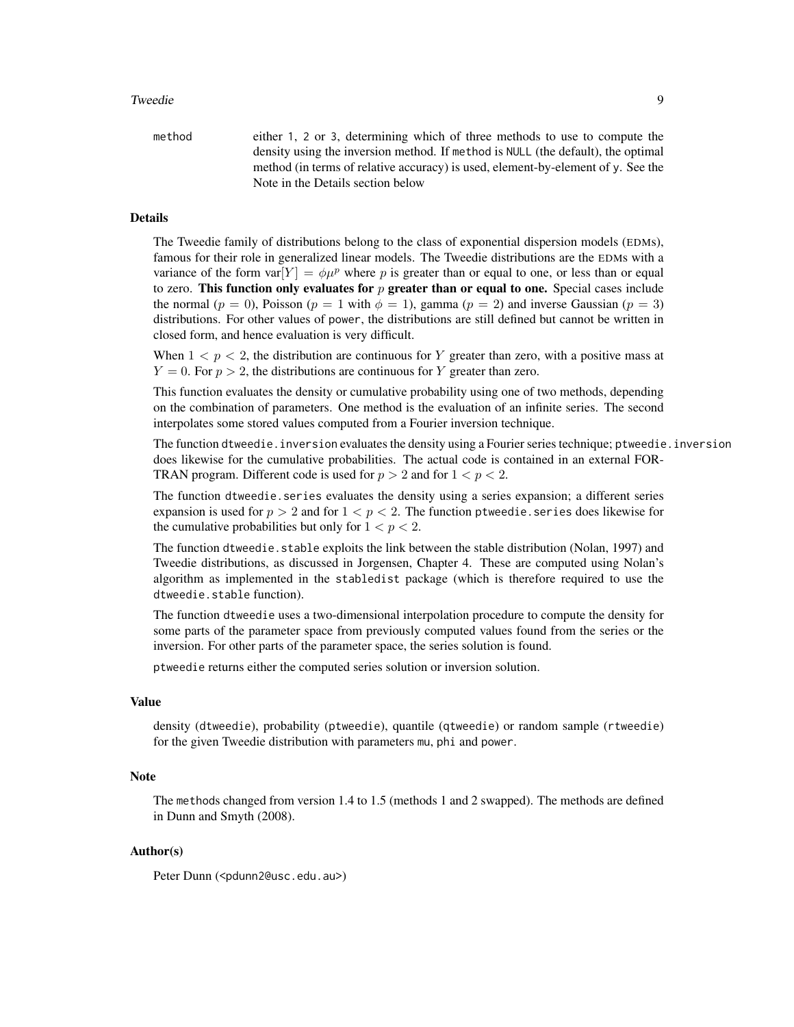#### Tweedie 9

| method | either 1, 2 or 3, determining which of three methods to use to compute the       |
|--------|----------------------------------------------------------------------------------|
|        | density using the inversion method. If method is NULL (the default), the optimal |
|        | method (in terms of relative accuracy) is used, element-by-element of y. See the |
|        | Note in the Details section below                                                |

#### Details

The Tweedie family of distributions belong to the class of exponential dispersion models (EDMs), famous for their role in generalized linear models. The Tweedie distributions are the EDMs with a variance of the form var $[Y] = \phi \mu^p$  where p is greater than or equal to one, or less than or equal to zero. This function only evaluates for  $p$  greater than or equal to one. Special cases include the normal ( $p = 0$ ), Poisson ( $p = 1$  with  $\phi = 1$ ), gamma ( $p = 2$ ) and inverse Gaussian ( $p = 3$ ) distributions. For other values of power, the distributions are still defined but cannot be written in closed form, and hence evaluation is very difficult.

When  $1 < p < 2$ , the distribution are continuous for Y greater than zero, with a positive mass at  $Y = 0$ . For  $p > 2$ , the distributions are continuous for Y greater than zero.

This function evaluates the density or cumulative probability using one of two methods, depending on the combination of parameters. One method is the evaluation of an infinite series. The second interpolates some stored values computed from a Fourier inversion technique.

The function dtweedie.inversion evaluates the density using a Fourier series technique; ptweedie.inversion does likewise for the cumulative probabilities. The actual code is contained in an external FOR-TRAN program. Different code is used for  $p > 2$  and for  $1 < p < 2$ .

The function dtweedie.series evaluates the density using a series expansion; a different series expansion is used for  $p > 2$  and for  $1 < p < 2$ . The function ptweedie. series does likewise for the cumulative probabilities but only for  $1 < p < 2$ .

The function dtweedie. stable exploits the link between the stable distribution (Nolan, 1997) and Tweedie distributions, as discussed in Jorgensen, Chapter 4. These are computed using Nolan's algorithm as implemented in the stabledist package (which is therefore required to use the dtweedie.stable function).

The function dtweedie uses a two-dimensional interpolation procedure to compute the density for some parts of the parameter space from previously computed values found from the series or the inversion. For other parts of the parameter space, the series solution is found.

ptweedie returns either the computed series solution or inversion solution.

#### Value

density (dtweedie), probability (ptweedie), quantile (qtweedie) or random sample (rtweedie) for the given Tweedie distribution with parameters mu, phi and power.

#### Note

The methods changed from version 1.4 to 1.5 (methods 1 and 2 swapped). The methods are defined in Dunn and Smyth (2008).

#### Author(s)

Peter Dunn (<pdunn2@usc.edu.au>)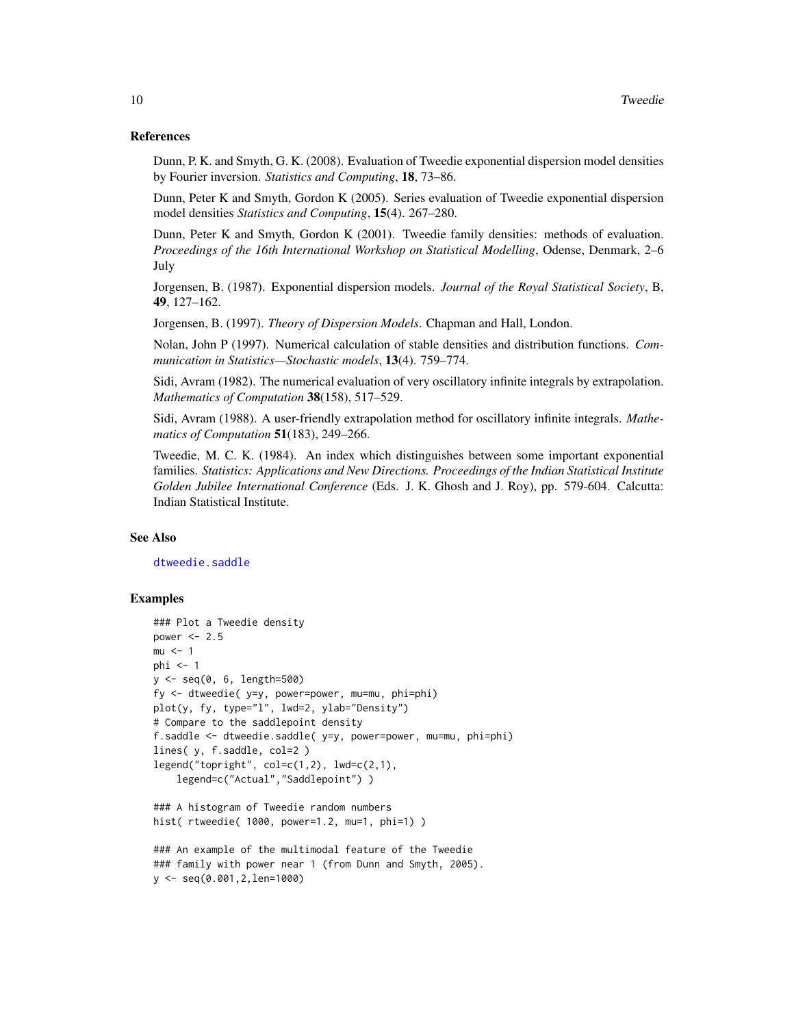#### References

Dunn, P. K. and Smyth, G. K. (2008). Evaluation of Tweedie exponential dispersion model densities by Fourier inversion. *Statistics and Computing*, 18, 73–86.

Dunn, Peter K and Smyth, Gordon K (2005). Series evaluation of Tweedie exponential dispersion model densities *Statistics and Computing*, 15(4). 267–280.

Dunn, Peter K and Smyth, Gordon K (2001). Tweedie family densities: methods of evaluation. *Proceedings of the 16th International Workshop on Statistical Modelling*, Odense, Denmark, 2–6 July

Jorgensen, B. (1987). Exponential dispersion models. *Journal of the Royal Statistical Society*, B, 49, 127–162.

Jorgensen, B. (1997). *Theory of Dispersion Models*. Chapman and Hall, London.

Nolan, John P (1997). Numerical calculation of stable densities and distribution functions. *Communication in Statistics—Stochastic models*, 13(4). 759–774.

Sidi, Avram (1982). The numerical evaluation of very oscillatory infinite integrals by extrapolation. *Mathematics of Computation* 38(158), 517–529.

Sidi, Avram (1988). A user-friendly extrapolation method for oscillatory infinite integrals. *Mathematics of Computation* 51(183), 249–266.

Tweedie, M. C. K. (1984). An index which distinguishes between some important exponential families. *Statistics: Applications and New Directions. Proceedings of the Indian Statistical Institute Golden Jubilee International Conference* (Eds. J. K. Ghosh and J. Roy), pp. 579-604. Calcutta: Indian Statistical Institute.

#### See Also

[dtweedie.saddle](#page-5-1)

#### Examples

```
### Plot a Tweedie density
power <-2.5mu < -1phi < -1y <- seq(0, 6, length=500)
fy <- dtweedie( y=y, power=power, mu=mu, phi=phi)
plot(y, fy, type="l", lwd=2, ylab="Density")
# Compare to the saddlepoint density
f.saddle <- dtweedie.saddle( y=y, power=power, mu=mu, phi=phi)
lines( y, f.saddle, col=2 )
legend("topright", col=c(1,2), lwd=c(2,1),legend=c("Actual","Saddlepoint") )
### A histogram of Tweedie random numbers
hist( rtweedie( 1000, power=1.2, mu=1, phi=1) )
### An example of the multimodal feature of the Tweedie
### family with power near 1 (from Dunn and Smyth, 2005).
```

```
y <- seq(0.001,2,len=1000)
```
<span id="page-9-0"></span>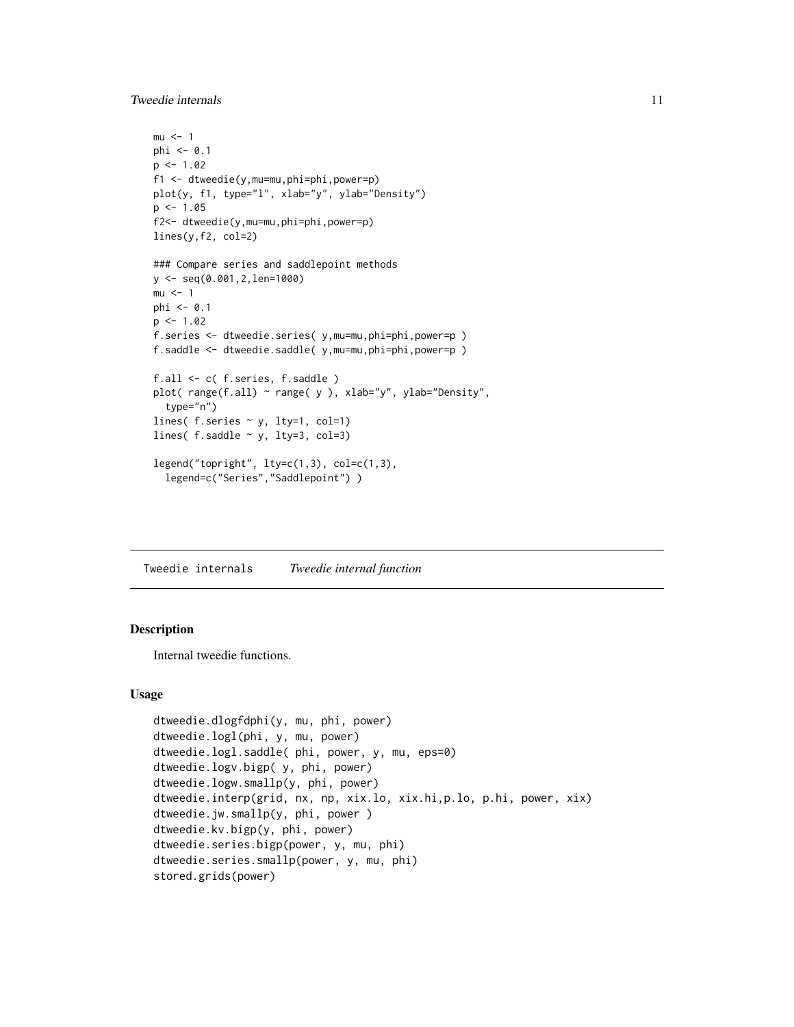<span id="page-10-0"></span>Tweedie internals 11

```
mu < - 1phi \leq -0.1p \le -1.02f1 <- dtweedie(y,mu=mu,phi=phi,power=p)
plot(y, f1, type="l", xlab="y", ylab="Density")
p \le -1.05f2<- dtweedie(y,mu=mu,phi=phi,power=p)
lines(y,f2, col=2)
### Compare series and saddlepoint methods
y <- seq(0.001,2,len=1000)
mu < -1phi <- 0.1
p \le -1.02f.series <- dtweedie.series( y,mu=mu,phi=phi,power=p )
f.saddle <- dtweedie.saddle( y,mu=mu,phi=phi,power=p )
f.all <- c( f.series, f.saddle )
plot( range(f.all) ~ range( y ), xlab="y", ylab="Density",
  type="n")
lines( f.series ~ y, lty=1, col=1)
lines( f.saddle \sim y, lty=3, col=3)
legend("topright", lty=c(1,3), col=c(1,3),
  legend=c("Series","Saddlepoint") )
```
Tweedie internals *Tweedie internal function*

#### Description

Internal tweedie functions.

#### Usage

```
dtweedie.dlogfdphi(y, mu, phi, power)
dtweedie.logl(phi, y, mu, power)
dtweedie.logl.saddle( phi, power, y, mu, eps=0)
dtweedie.logv.bigp( y, phi, power)
dtweedie.logw.smallp(y, phi, power)
dtweedie.interp(grid, nx, np, xix.lo, xix.hi,p.lo, p.hi, power, xix)
dtweedie.jw.smallp(y, phi, power )
dtweedie.kv.bigp(y, phi, power)
dtweedie.series.bigp(power, y, mu, phi)
dtweedie.series.smallp(power, y, mu, phi)
stored.grids(power)
```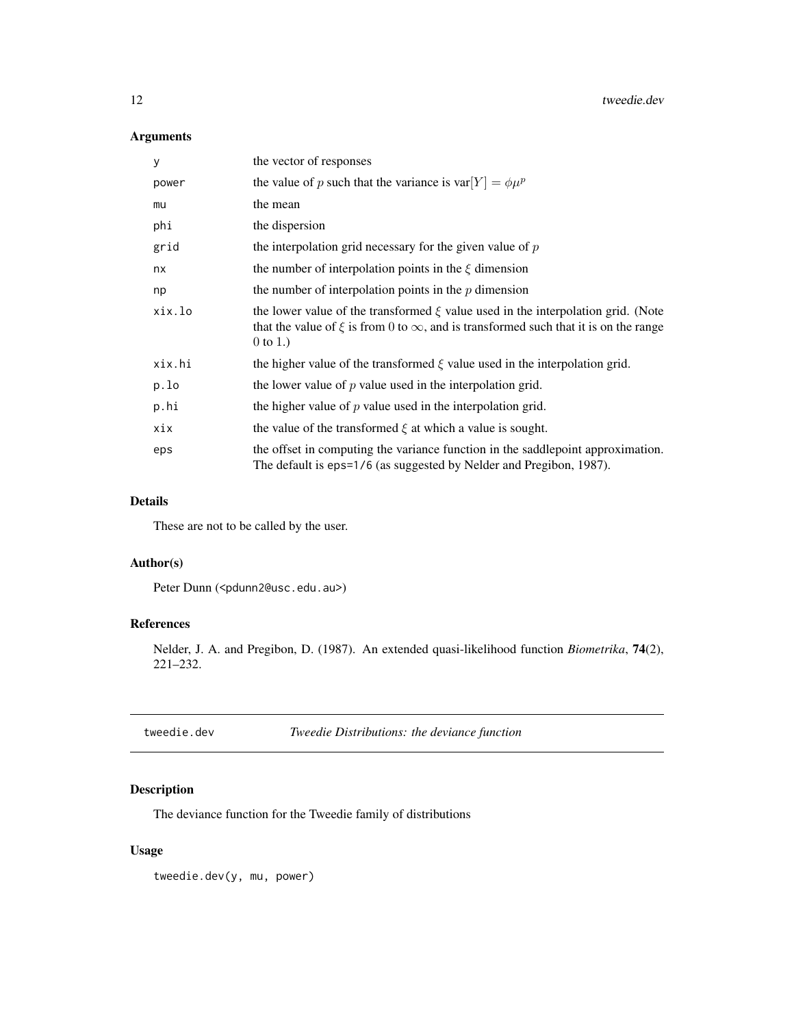<span id="page-11-0"></span>12 tweedie.dev

#### Arguments

| У      | the vector of responses                                                                                                                                                                               |
|--------|-------------------------------------------------------------------------------------------------------------------------------------------------------------------------------------------------------|
| power  | the value of p such that the variance is $var[Y] = \phi \mu^p$                                                                                                                                        |
| mu     | the mean                                                                                                                                                                                              |
| phi    | the dispersion                                                                                                                                                                                        |
| grid   | the interpolation grid necessary for the given value of $p$                                                                                                                                           |
| nx     | the number of interpolation points in the $\xi$ dimension                                                                                                                                             |
| np     | the number of interpolation points in the $p$ dimension                                                                                                                                               |
| xix.lo | the lower value of the transformed $\xi$ value used in the interpolation grid. (Note<br>that the value of $\xi$ is from 0 to $\infty$ , and is transformed such that it is on the range<br>$0$ to 1.) |
| xix.hi | the higher value of the transformed $\xi$ value used in the interpolation grid.                                                                                                                       |
| p.lo   | the lower value of $p$ value used in the interpolation grid.                                                                                                                                          |
| p.hi   | the higher value of $p$ value used in the interpolation grid.                                                                                                                                         |
| xix    | the value of the transformed $\xi$ at which a value is sought.                                                                                                                                        |
| eps    | the offset in computing the variance function in the saddlepoint approximation.<br>The default is eps=1/6 (as suggested by Nelder and Pregibon, 1987).                                                |

#### Details

These are not to be called by the user.

#### Author(s)

Peter Dunn (<pdunn2@usc.edu.au>)

#### References

Nelder, J. A. and Pregibon, D. (1987). An extended quasi-likelihood function *Biometrika*, 74(2), 221–232.

| tweedie.dev | Tweedie Distributions: the deviance function |
|-------------|----------------------------------------------|
|-------------|----------------------------------------------|

### Description

The deviance function for the Tweedie family of distributions

#### Usage

tweedie.dev(y, mu, power)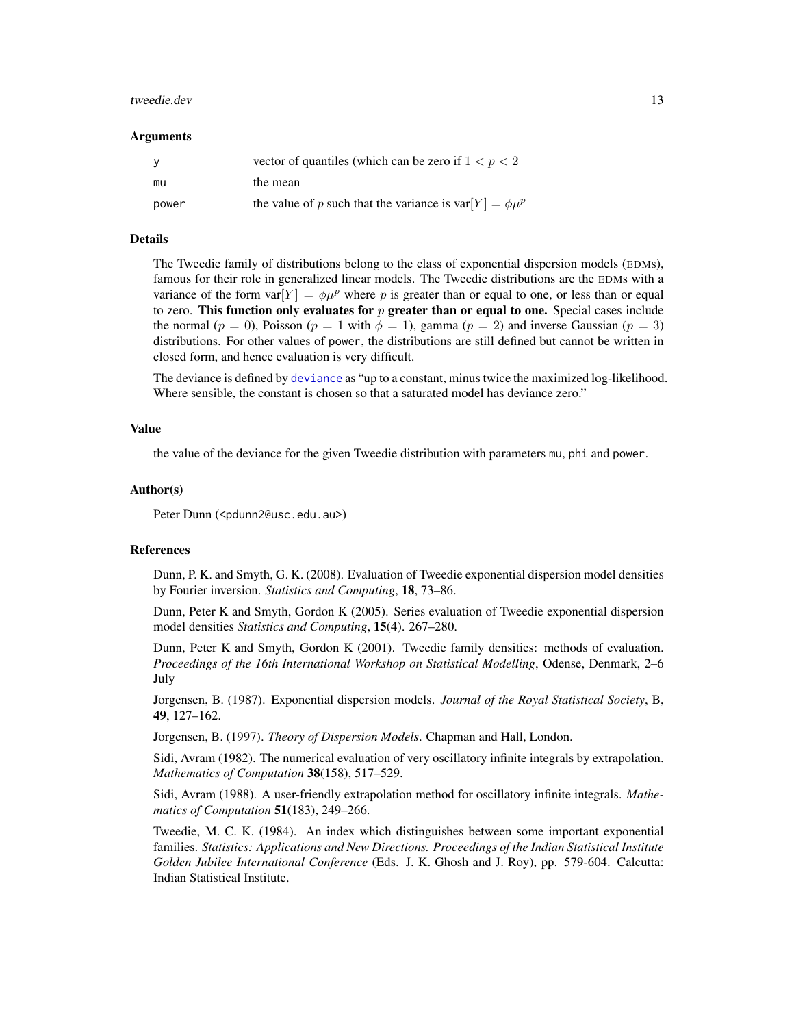#### <span id="page-12-0"></span>tweedie.dev 13

#### Arguments

|       | vector of quantiles (which can be zero if $1 < p < 2$ )        |
|-------|----------------------------------------------------------------|
| mu    | the mean                                                       |
| power | the value of p such that the variance is $var[Y] = \phi \mu^p$ |

#### Details

The Tweedie family of distributions belong to the class of exponential dispersion models (EDMs), famous for their role in generalized linear models. The Tweedie distributions are the EDMs with a variance of the form  $var[Y] = \phi \mu^p$  where p is greater than or equal to one, or less than or equal to zero. This function only evaluates for  $p$  greater than or equal to one. Special cases include the normal ( $p = 0$ ), Poisson ( $p = 1$  with  $\phi = 1$ ), gamma ( $p = 2$ ) and inverse Gaussian ( $p = 3$ ) distributions. For other values of power, the distributions are still defined but cannot be written in closed form, and hence evaluation is very difficult.

The deviance is defined by [deviance](#page-0-0) as "up to a constant, minus twice the maximized log-likelihood. Where sensible, the constant is chosen so that a saturated model has deviance zero."

#### Value

the value of the deviance for the given Tweedie distribution with parameters mu, phi and power.

#### Author(s)

Peter Dunn (<pdunn2@usc.edu.au>)

#### References

Dunn, P. K. and Smyth, G. K. (2008). Evaluation of Tweedie exponential dispersion model densities by Fourier inversion. *Statistics and Computing*, 18, 73–86.

Dunn, Peter K and Smyth, Gordon K (2005). Series evaluation of Tweedie exponential dispersion model densities *Statistics and Computing*, 15(4). 267–280.

Dunn, Peter K and Smyth, Gordon K (2001). Tweedie family densities: methods of evaluation. *Proceedings of the 16th International Workshop on Statistical Modelling*, Odense, Denmark, 2–6 July

Jorgensen, B. (1987). Exponential dispersion models. *Journal of the Royal Statistical Society*, B, 49, 127–162.

Jorgensen, B. (1997). *Theory of Dispersion Models*. Chapman and Hall, London.

Sidi, Avram (1982). The numerical evaluation of very oscillatory infinite integrals by extrapolation. *Mathematics of Computation* 38(158), 517–529.

Sidi, Avram (1988). A user-friendly extrapolation method for oscillatory infinite integrals. *Mathematics of Computation* 51(183), 249–266.

Tweedie, M. C. K. (1984). An index which distinguishes between some important exponential families. *Statistics: Applications and New Directions. Proceedings of the Indian Statistical Institute Golden Jubilee International Conference* (Eds. J. K. Ghosh and J. Roy), pp. 579-604. Calcutta: Indian Statistical Institute.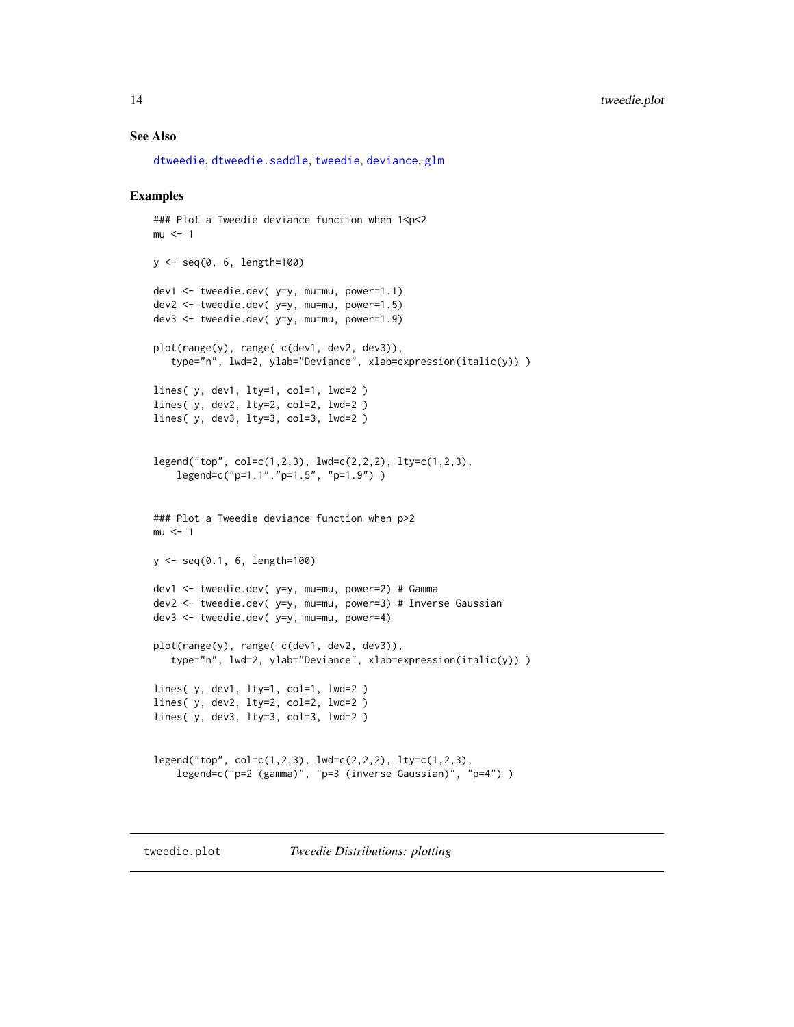#### <span id="page-13-0"></span>See Also

[dtweedie](#page-7-1), [dtweedie.saddle](#page-5-1), [tweedie](#page-0-0), [deviance](#page-0-0), [glm](#page-0-0)

#### Examples

```
### Plot a Tweedie deviance function when 1<p<2
mu < - 1y <- seq(0, 6, length=100)
dev1 <- tweedie.dev( y=y, mu=mu, power=1.1)
dev2 <- tweedie.dev( y=y, mu=mu, power=1.5)
dev3 <- tweedie.dev( y=y, mu=mu, power=1.9)
plot(range(y), range( c(dev1, dev2, dev3)),
   type="n", lwd=2, ylab="Deviance", xlab=expression(italic(y)) )
lines( y, dev1, lty=1, col=1, lwd=2 )
lines( y, dev2, lty=2, col=2, lwd=2 )
lines( y, dev3, lty=3, col=3, lwd=2 )
legend("top", col=c(1,2,3), lwd=c(2,2,2), lty=c(1,2,3),
    legend=c("p=1.1","p=1.5", "p=1.9") )
### Plot a Tweedie deviance function when p>2
mu < - 1y <- seq(0.1, 6, length=100)
dev1 <- tweedie.dev( y=y, mu=mu, power=2) # Gamma
dev2 <- tweedie.dev( y=y, mu=mu, power=3) # Inverse Gaussian
dev3 <- tweedie.dev( y=y, mu=mu, power=4)
plot(range(y), range( c(dev1, dev2, dev3)),
   type="n", lwd=2, ylab="Deviance", xlab=expression(italic(y)) )
lines( y, dev1, lty=1, col=1, lwd=2 )
lines( y, dev2, lty=2, col=2, lwd=2 )
lines( y, dev3, lty=3, col=3, lwd=2 )
legend("top", col=c(1,2,3), lwd=c(2,2,2), lty=c(1,2,3),legend=c("p=2 (gamma)", "p=3 (inverse Gaussian)", "p=4") )
```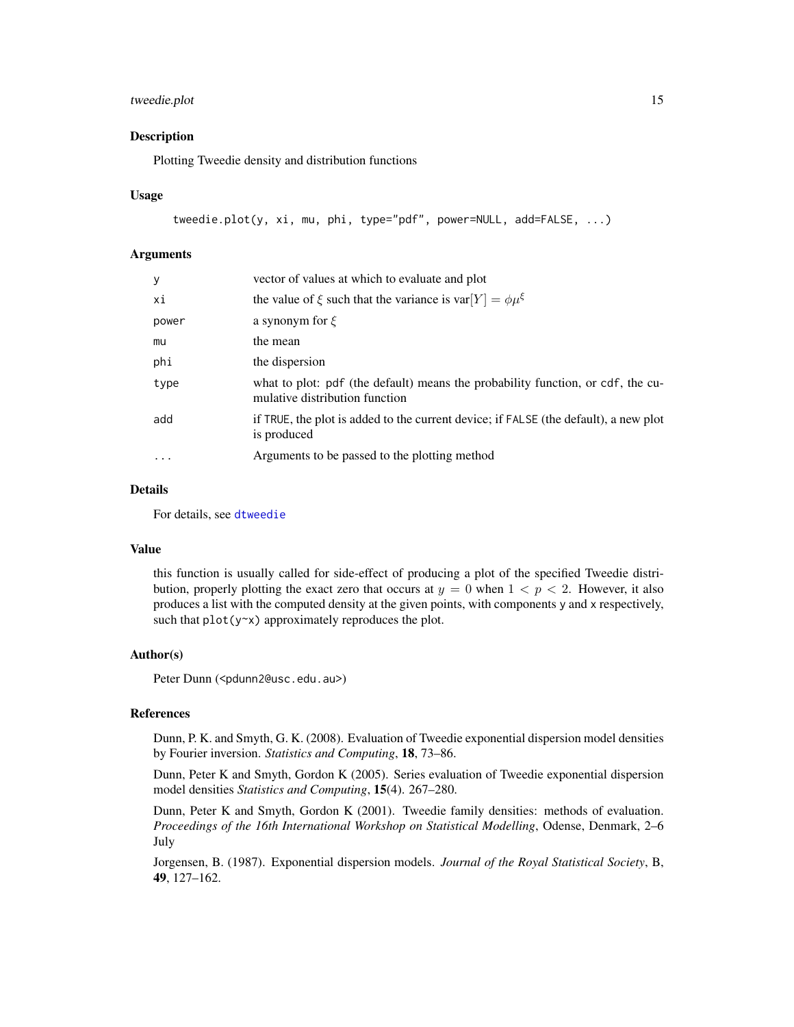#### tweedie.plot 15

#### Description

Plotting Tweedie density and distribution functions

#### Usage

```
tweedie.plot(y, xi, mu, phi, type="pdf", power=NULL, add=FALSE, ...)
```
#### Arguments

| $\mathbf{y}$ | vector of values at which to evaluate and plot                                                                    |
|--------------|-------------------------------------------------------------------------------------------------------------------|
| хi           | the value of $\xi$ such that the variance is var $[Y] = \phi \mu^{\xi}$                                           |
| power        | a synonym for $\xi$                                                                                               |
| mu           | the mean                                                                                                          |
| phi          | the dispersion                                                                                                    |
| type         | what to plot: pdf (the default) means the probability function, or cdf, the cu-<br>mulative distribution function |
| add          | if TRUE, the plot is added to the current device; if FALSE (the default), a new plot<br>is produced               |
| $\cdots$     | Arguments to be passed to the plotting method                                                                     |

#### Details

For details, see [dtweedie](#page-7-1)

#### Value

this function is usually called for side-effect of producing a plot of the specified Tweedie distribution, properly plotting the exact zero that occurs at  $y = 0$  when  $1 < p < 2$ . However, it also produces a list with the computed density at the given points, with components y and x respectively, such that  $plot(y \sim x)$  approximately reproduces the plot.

#### Author(s)

Peter Dunn (<pdunn2@usc.edu.au>)

#### References

Dunn, P. K. and Smyth, G. K. (2008). Evaluation of Tweedie exponential dispersion model densities by Fourier inversion. *Statistics and Computing*, 18, 73–86.

Dunn, Peter K and Smyth, Gordon K (2005). Series evaluation of Tweedie exponential dispersion model densities *Statistics and Computing*, 15(4). 267–280.

Dunn, Peter K and Smyth, Gordon K (2001). Tweedie family densities: methods of evaluation. *Proceedings of the 16th International Workshop on Statistical Modelling*, Odense, Denmark, 2–6 July

Jorgensen, B. (1987). Exponential dispersion models. *Journal of the Royal Statistical Society*, B, 49, 127–162.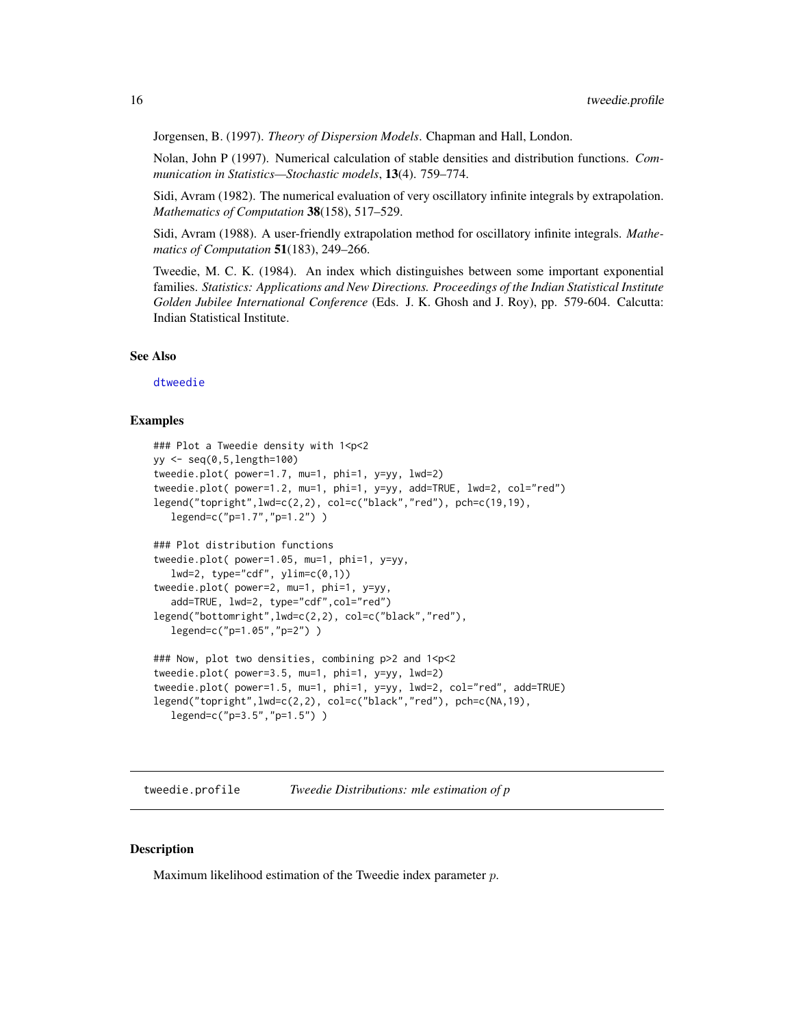<span id="page-15-0"></span>Jorgensen, B. (1997). *Theory of Dispersion Models*. Chapman and Hall, London.

Nolan, John P (1997). Numerical calculation of stable densities and distribution functions. *Communication in Statistics—Stochastic models*, 13(4). 759–774.

Sidi, Avram (1982). The numerical evaluation of very oscillatory infinite integrals by extrapolation. *Mathematics of Computation* 38(158), 517–529.

Sidi, Avram (1988). A user-friendly extrapolation method for oscillatory infinite integrals. *Mathematics of Computation* 51(183), 249–266.

Tweedie, M. C. K. (1984). An index which distinguishes between some important exponential families. *Statistics: Applications and New Directions. Proceedings of the Indian Statistical Institute Golden Jubilee International Conference* (Eds. J. K. Ghosh and J. Roy), pp. 579-604. Calcutta: Indian Statistical Institute.

#### See Also

[dtweedie](#page-7-1)

#### Examples

```
### Plot a Tweedie density with 1<p<2
yy <- seq(0,5,length=100)
tweedie.plot( power=1.7, mu=1, phi=1, y=yy, lwd=2)
tweedie.plot( power=1.2, mu=1, phi=1, y=yy, add=TRUE, lwd=2, col="red")
legend("topright",lwd=c(2,2), col=c("black","red"), pch=c(19,19),
   legend=c("p=1.7","p=1.2") )
### Plot distribution functions
tweedie.plot( power=1.05, mu=1, phi=1, y=yy,
   lwd=2, type="cdf", ylim=c(0,1))
tweedie.plot( power=2, mu=1, phi=1, y=yy,
   add=TRUE, lwd=2, type="cdf",col="red")
legend("bottomright",lwd=c(2,2), col=c("black","red"),
   legend=c("p=1.05","p=2") )
### Now, plot two densities, combining p>2 and 1<p<2
tweedie.plot( power=3.5, mu=1, phi=1, y=yy, lwd=2)
tweedie.plot( power=1.5, mu=1, phi=1, y=yy, lwd=2, col="red", add=TRUE)
legend("topright",lwd=c(2,2), col=c("black","red"), pch=c(NA,19),
   legend=c("p=3.5","p=1.5") )
```
<span id="page-15-1"></span>tweedie.profile *Tweedie Distributions: mle estimation of p*

#### Description

Maximum likelihood estimation of the Tweedie index parameter  $p$ .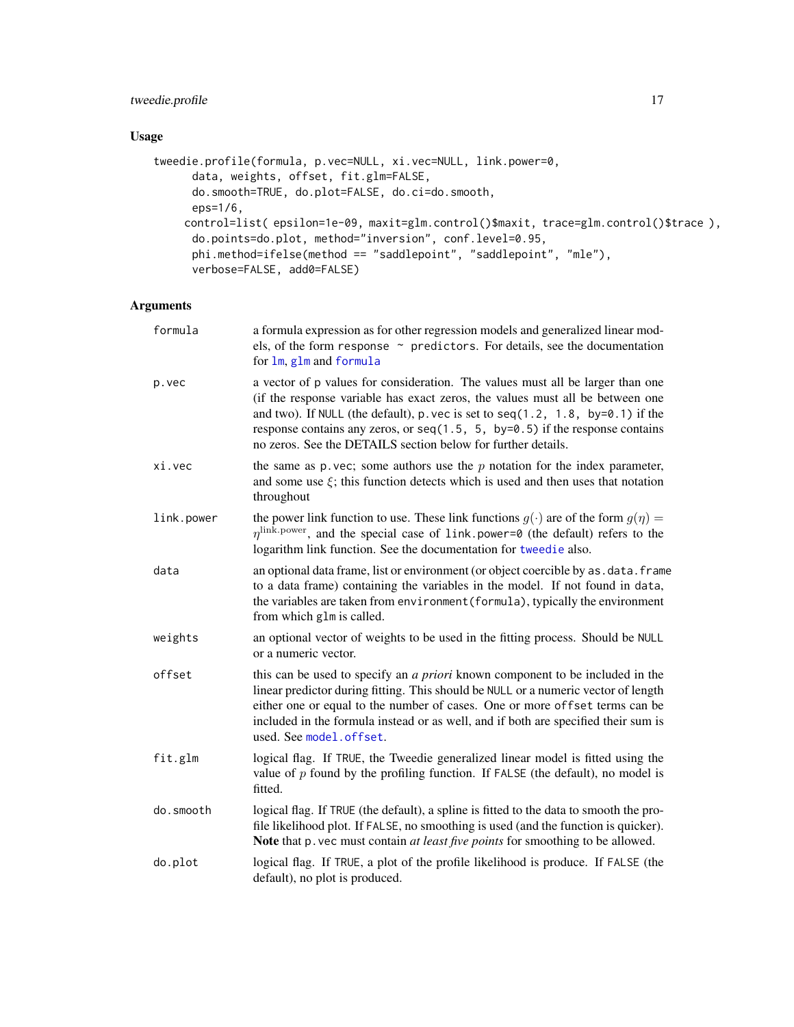### <span id="page-16-0"></span>tweedie.profile 17

#### Usage

```
tweedie.profile(formula, p.vec=NULL, xi.vec=NULL, link.power=0,
     data, weights, offset, fit.glm=FALSE,
     do.smooth=TRUE, do.plot=FALSE, do.ci=do.smooth,
     eps=1/6,
    control=list( epsilon=1e-09, maxit=glm.control()$maxit, trace=glm.control()$trace ),
     do.points=do.plot, method="inversion", conf.level=0.95,
     phi.method=ifelse(method == "saddlepoint", "saddlepoint", "mle"),
     verbose=FALSE, add0=FALSE)
```
#### Arguments

| formula    | a formula expression as for other regression models and generalized linear mod-<br>els, of the form response ~ predictors. For details, see the documentation<br>for lm, glm and formula                                                                                                                                                                                                              |
|------------|-------------------------------------------------------------------------------------------------------------------------------------------------------------------------------------------------------------------------------------------------------------------------------------------------------------------------------------------------------------------------------------------------------|
| p.vec      | a vector of p values for consideration. The values must all be larger than one<br>(if the response variable has exact zeros, the values must all be between one<br>and two). If NULL (the default), p. vec is set to $seq(1.2, 1.8, by=0.1)$ if the<br>response contains any zeros, or $seq(1.5, 5, by=0.5)$ if the response contains<br>no zeros. See the DETAILS section below for further details. |
| xi.vec     | the same as $p$ vec; some authors use the $p$ notation for the index parameter,<br>and some use $\xi$ ; this function detects which is used and then uses that notation<br>throughout                                                                                                                                                                                                                 |
| link.power | the power link function to use. These link functions $g(\cdot)$ are of the form $g(\eta)$ =<br>$\eta^{\text{link.power}}$ , and the special case of link.power=0 (the default) refers to the<br>logarithm link function. See the documentation for tweedie also.                                                                                                                                      |
| data       | an optional data frame, list or environment (or object coercible by as . data. frame<br>to a data frame) containing the variables in the model. If not found in data,<br>the variables are taken from environment (formula), typically the environment<br>from which glm is called.                                                                                                                   |
| weights    | an optional vector of weights to be used in the fitting process. Should be NULL<br>or a numeric vector.                                                                                                                                                                                                                                                                                               |
| offset     | this can be used to specify an <i>a priori</i> known component to be included in the<br>linear predictor during fitting. This should be NULL or a numeric vector of length<br>either one or equal to the number of cases. One or more offset terms can be<br>included in the formula instead or as well, and if both are specified their sum is<br>used. See model.offset.                            |
| fit.glm    | logical flag. If TRUE, the Tweedie generalized linear model is fitted using the<br>value of $p$ found by the profiling function. If FALSE (the default), no model is<br>fitted.                                                                                                                                                                                                                       |
| do.smooth  | logical flag. If TRUE (the default), a spline is fitted to the data to smooth the pro-<br>file likelihood plot. If FALSE, no smoothing is used (and the function is quicker).<br>Note that p. vec must contain <i>at least five points</i> for smoothing to be allowed.                                                                                                                               |
| do.plot    | logical flag. If TRUE, a plot of the profile likelihood is produce. If FALSE (the<br>default), no plot is produced.                                                                                                                                                                                                                                                                                   |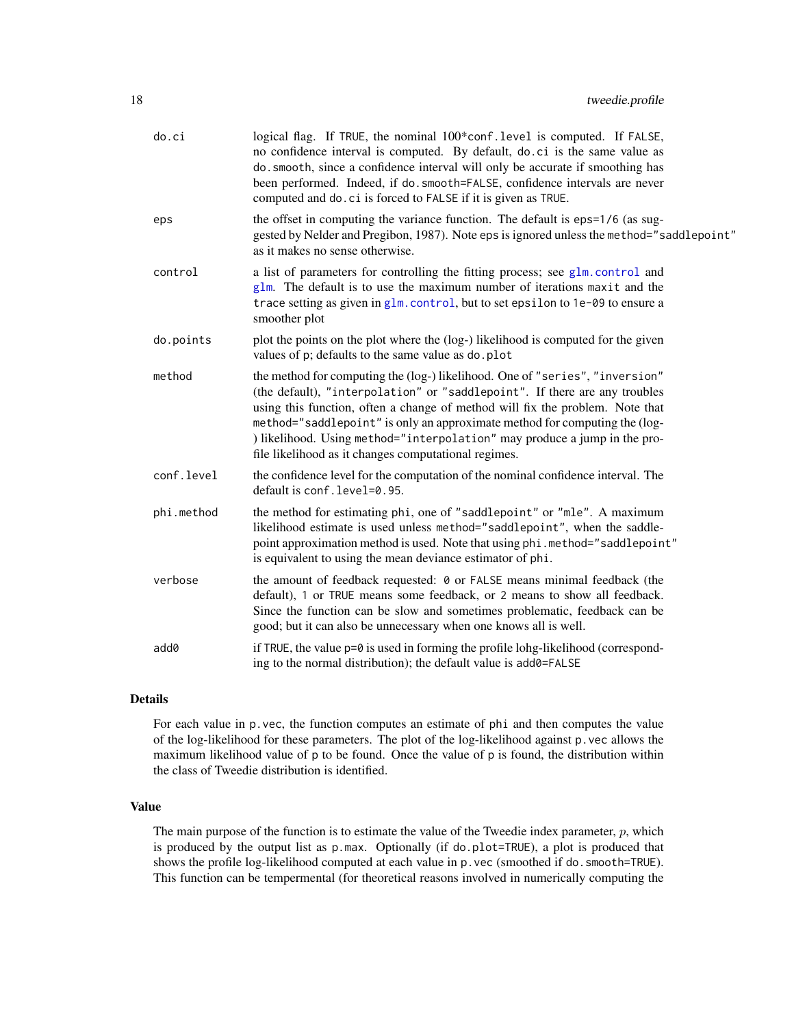<span id="page-17-0"></span>

| do.ci      | logical flag. If TRUE, the nominal 100*conf.level is computed. If FALSE,<br>no confidence interval is computed. By default, do.ci is the same value as<br>do. smooth, since a confidence interval will only be accurate if smoothing has<br>been performed. Indeed, if do. smooth=FALSE, confidence intervals are never<br>computed and do. ci is forced to FALSE if it is given as TRUE.                                                                      |
|------------|----------------------------------------------------------------------------------------------------------------------------------------------------------------------------------------------------------------------------------------------------------------------------------------------------------------------------------------------------------------------------------------------------------------------------------------------------------------|
| eps        | the offset in computing the variance function. The default is eps=1/6 (as sug-<br>gested by Nelder and Pregibon, 1987). Note eps is ignored unless the method="saddlepoint"<br>as it makes no sense otherwise.                                                                                                                                                                                                                                                 |
| control    | a list of parameters for controlling the fitting process; see glm.control and<br>glm. The default is to use the maximum number of iterations maxit and the<br>trace setting as given in glm. control, but to set epsilon to 1e-09 to ensure a<br>smoother plot                                                                                                                                                                                                 |
| do.points  | plot the points on the plot where the (log-) likelihood is computed for the given<br>values of p; defaults to the same value as do. plot                                                                                                                                                                                                                                                                                                                       |
| method     | the method for computing the (log-) likelihood. One of "series", "inversion"<br>(the default), "interpolation" or "saddlepoint". If there are any troubles<br>using this function, often a change of method will fix the problem. Note that<br>method="saddlepoint" is only an approximate method for computing the (log-<br>) likelihood. Using method="interpolation" may produce a jump in the pro-<br>file likelihood as it changes computational regimes. |
| conf.level | the confidence level for the computation of the nominal confidence interval. The<br>default is conf. level=0.95.                                                                                                                                                                                                                                                                                                                                               |
| phi.method | the method for estimating phi, one of "saddlepoint" or "mle". A maximum<br>likelihood estimate is used unless method="saddlepoint", when the saddle-<br>point approximation method is used. Note that using phi.method="saddlepoint"<br>is equivalent to using the mean deviance estimator of phi.                                                                                                                                                             |
| verbose    | the amount of feedback requested: 0 or FALSE means minimal feedback (the<br>default), 1 or TRUE means some feedback, or 2 means to show all feedback.<br>Since the function can be slow and sometimes problematic, feedback can be<br>good; but it can also be unnecessary when one knows all is well.                                                                                                                                                         |
| add0       | if TRUE, the value $p=0$ is used in forming the profile lohg-likelihood (correspond-<br>ing to the normal distribution); the default value is add0=FALSE                                                                                                                                                                                                                                                                                                       |

#### Details

For each value in p.vec, the function computes an estimate of phi and then computes the value of the log-likelihood for these parameters. The plot of the log-likelihood against p.vec allows the maximum likelihood value of p to be found. Once the value of p is found, the distribution within the class of Tweedie distribution is identified.

#### Value

The main purpose of the function is to estimate the value of the Tweedie index parameter,  $p$ , which is produced by the output list as p.max. Optionally (if do.plot=TRUE), a plot is produced that shows the profile log-likelihood computed at each value in p.vec (smoothed if do. smooth=TRUE). This function can be tempermental (for theoretical reasons involved in numerically computing the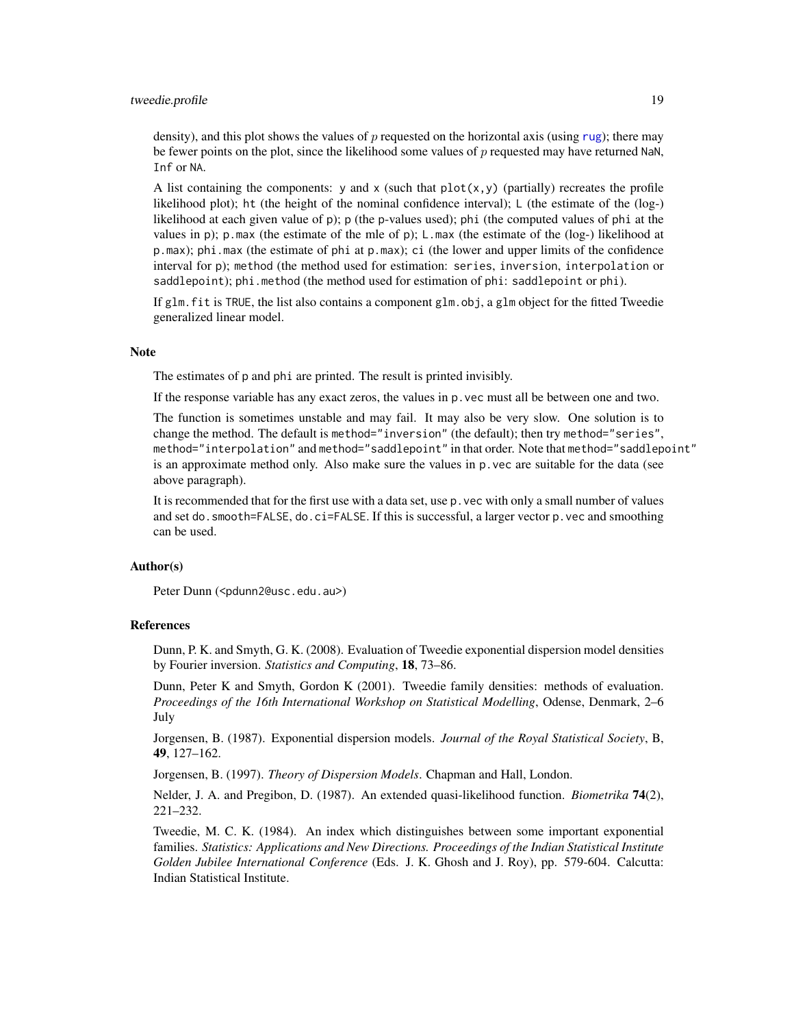#### <span id="page-18-0"></span>tweedie.profile 19

density), and this plot shows the values of  $p$  requested on the horizontal axis (using [rug](#page-0-0)); there may be fewer points on the plot, since the likelihood some values of  $p$  requested may have returned NaN, Inf or NA.

A list containing the components: y and x (such that  $plot(x, y)$  (partially) recreates the profile likelihood plot); ht (the height of the nominal confidence interval); L (the estimate of the (log-) likelihood at each given value of p); p (the p-values used); phi (the computed values of phi at the values in p); p.max (the estimate of the mle of p); L.max (the estimate of the (log-) likelihood at p.max); phi.max (the estimate of phi at p.max); ci (the lower and upper limits of the confidence interval for p); method (the method used for estimation: series, inversion, interpolation or saddlepoint); phi.method (the method used for estimation of phi: saddlepoint or phi).

If glm.fit is TRUE, the list also contains a component glm.obj, a glm object for the fitted Tweedie generalized linear model.

#### **Note**

The estimates of p and phi are printed. The result is printed invisibly.

If the response variable has any exact zeros, the values in p.vec must all be between one and two.

The function is sometimes unstable and may fail. It may also be very slow. One solution is to change the method. The default is method="inversion" (the default); then try method="series", method="interpolation" and method="saddlepoint" in that order. Note that method="saddlepoint" is an approximate method only. Also make sure the values in p.vec are suitable for the data (see above paragraph).

It is recommended that for the first use with a data set, use p.vec with only a small number of values and set do.smooth=FALSE, do.ci=FALSE. If this is successful, a larger vector p.vec and smoothing can be used.

#### Author(s)

Peter Dunn (<pdunn2@usc.edu.au>)

#### References

Dunn, P. K. and Smyth, G. K. (2008). Evaluation of Tweedie exponential dispersion model densities by Fourier inversion. *Statistics and Computing*, 18, 73–86.

Dunn, Peter K and Smyth, Gordon K (2001). Tweedie family densities: methods of evaluation. *Proceedings of the 16th International Workshop on Statistical Modelling*, Odense, Denmark, 2–6 July

Jorgensen, B. (1987). Exponential dispersion models. *Journal of the Royal Statistical Society*, B, 49, 127–162.

Jorgensen, B. (1997). *Theory of Dispersion Models*. Chapman and Hall, London.

Nelder, J. A. and Pregibon, D. (1987). An extended quasi-likelihood function. *Biometrika* 74(2), 221–232.

Tweedie, M. C. K. (1984). An index which distinguishes between some important exponential families. *Statistics: Applications and New Directions. Proceedings of the Indian Statistical Institute Golden Jubilee International Conference* (Eds. J. K. Ghosh and J. Roy), pp. 579-604. Calcutta: Indian Statistical Institute.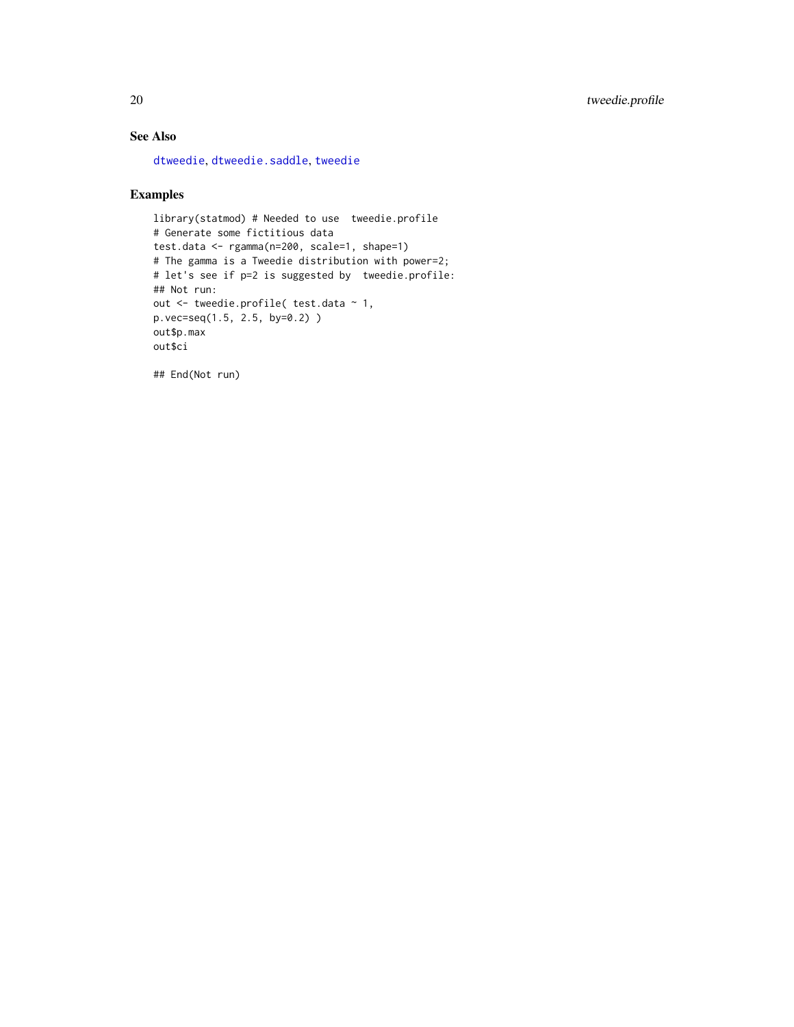#### <span id="page-19-0"></span>See Also

[dtweedie](#page-7-1), [dtweedie.saddle](#page-5-1), [tweedie](#page-0-0)

#### Examples

```
library(statmod) # Needed to use tweedie.profile
# Generate some fictitious data
test.data <- rgamma(n=200, scale=1, shape=1)
# The gamma is a Tweedie distribution with power=2;
# let's see if p=2 is suggested by tweedie.profile:
## Not run:
out <- tweedie.profile( test.data ~ 1,
p.vec=seq(1.5, 2.5, by=0.2) )
out$p.max
out$ci
```
## End(Not run)